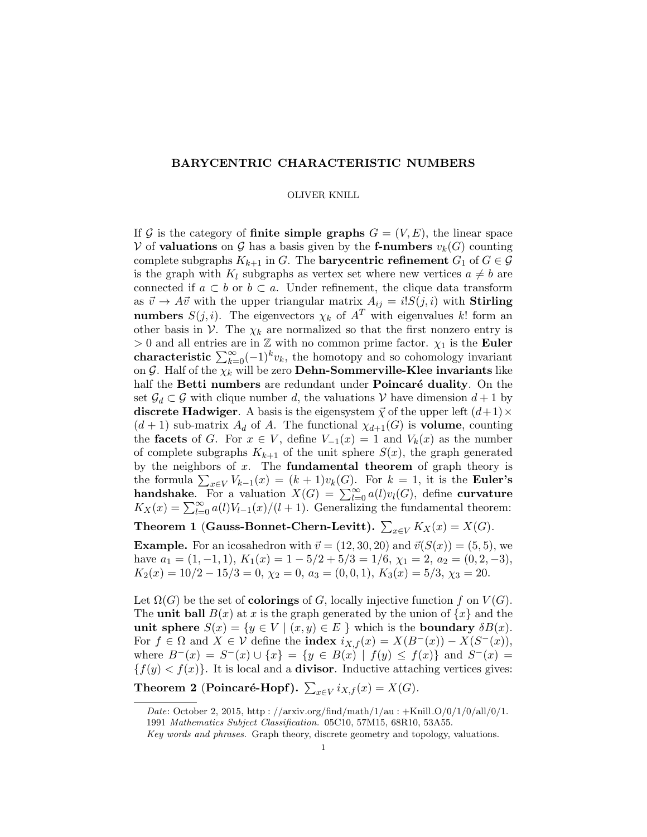## BARYCENTRIC CHARACTERISTIC NUMBERS

### OLIVER KNILL

If G is the category of finite simple graphs  $G = (V, E)$ , the linear space V of **valuations** on G has a basis given by the **f-numbers**  $v_k(G)$  counting complete subgraphs  $K_{k+1}$  in G. The **barycentric refinement**  $G_1$  of  $G \in \mathcal{G}$ is the graph with  $K_l$  subgraphs as vertex set where new vertices  $a \neq b$  are connected if  $a \subset b$  or  $b \subset a$ . Under refinement, the clique data transform as  $\vec{v} \rightarrow A\vec{v}$  with the upper triangular matrix  $A_{ij} = i!S(j,i)$  with **Stirling** numbers  $S(j, i)$ . The eigenvectors  $\chi_k$  of  $A<sup>T</sup>$  with eigenvalues k! form an other basis in V. The  $\chi_k$  are normalized so that the first nonzero entry is  $> 0$  and all entries are in Z with no common prime factor.  $\chi_1$  is the Euler characteristic  $\sum_{k=0}^{\infty}(-1)^{k}v_{k}$ , the homotopy and so cohomology invariant on G. Half of the  $\chi_k$  will be zero **Dehn-Sommerville-Klee invariants** like half the Betti numbers are redundant under Poincaré duality. On the set  $\mathcal{G}_d \subset \mathcal{G}$  with clique number d, the valuations V have dimension  $d+1$  by discrete Hadwiger. A basis is the eigensystem  $\vec{\chi}$  of the upper left  $(d+1) \times$  $(d+1)$  sub-matrix  $A_d$  of A. The functional  $\chi_{d+1}(G)$  is **volume**, counting the **facets** of G. For  $x \in V$ , define  $V_{-1}(x) = 1$  and  $V_k(x)$  as the number of complete subgraphs  $K_{k+1}$  of the unit sphere  $S(x)$ , the graph generated by the neighbors of  $x$ . The **fundamental theorem** of graph theory is the formula  $\sum_{x \in V} V_{k-1}(x) = (k+1)v_k(G)$ . For  $k = 1$ , it is the **Euler's** handshake. For a valuation  $X(G) = \sum_{l=0}^{\infty} a(l)v_l(G)$ , define curvature  $K_X(x) = \sum_{l=0}^{\infty} a(l)V_{l-1}(x)/(l+1)$ . Generalizing the fundamental theorem:

Theorem 1 (Gauss-Bonnet-Chern-Levitt).  $\sum_{x \in V} K_X(x) = X(G)$ .

**Example.** For an icosahedron with  $\vec{v} = (12, 30, 20)$  and  $\vec{v}(S(x)) = (5, 5)$ , we have  $a_1 = (1, -1, 1), K_1(x) = 1 - 5/2 + 5/3 = 1/6, \chi_1 = 2, a_2 = (0, 2, -3),$  $K_2(x) = 10/2 - 15/3 = 0$ ,  $\chi_2 = 0$ ,  $a_3 = (0, 0, 1)$ ,  $K_3(x) = 5/3$ ,  $\chi_3 = 20$ .

Let  $\Omega(G)$  be the set of **colorings** of G, locally injective function f on  $V(G)$ . The unit ball  $B(x)$  at x is the graph generated by the union of  $\{x\}$  and the unit sphere  $S(x) = \{y \in V \mid (x, y) \in E\}$  which is the boundary  $\delta B(x)$ . For  $f \in \Omega$  and  $X \in V$  define the **index**  $i_{X,f}(x) = X(B^-(x)) - X(S^-(x)),$ where  $B^{-}(x) = S^{-}(x) \cup \{x\} = \{y \in B(x) \mid f(y) \le f(x)\}\$  and  $S^{-}(x) =$  ${f(y) < f(x)}$ . It is local and a **divisor**. Inductive attaching vertices gives:

Theorem 2 (Poincaré-Hopf).  $\sum_{x \in V} i_{X,f}(x) = X(G)$ .

Date: October 2, 2015, http://arxiv.org/find/math/1/au :  $+$ Knill  $O/O/1/0/all/0/1$ .

<sup>1991</sup> Mathematics Subject Classification. 05C10, 57M15, 68R10, 53A55.

Key words and phrases. Graph theory, discrete geometry and topology, valuations.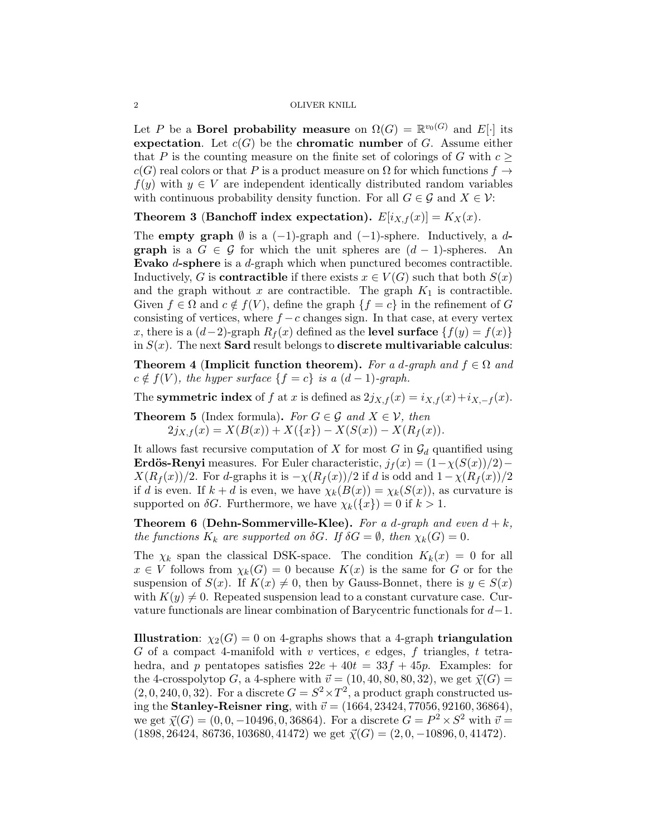Let P be a **Borel probability measure** on  $\Omega(G) = \mathbb{R}^{v_0(G)}$  and E[·] its expectation. Let  $c(G)$  be the chromatic number of G. Assume either that P is the counting measure on the finite set of colorings of G with  $c \geq$  $c(G)$  real colors or that P is a product measure on  $\Omega$  for which functions  $f \to$  $f(y)$  with  $y \in V$  are independent identically distributed random variables with continuous probability density function. For all  $G \in \mathcal{G}$  and  $X \in \mathcal{V}$ :

# Theorem 3 (Banchoff index expectation).  $E[i_{X,f}(x)] = K_X(x)$ .

The **empty graph**  $\emptyset$  is a (-1)-graph and (-1)-sphere. Inductively, a d**graph** is a  $G \in \mathcal{G}$  for which the unit spheres are  $(d-1)$ -spheres. An Evako d-sphere is a d-graph which when punctured becomes contractible. Inductively, G is **contractible** if there exists  $x \in V(G)$  such that both  $S(x)$ and the graph without x are contractible. The graph  $K_1$  is contractible. Given  $f \in \Omega$  and  $c \notin f(V)$ , define the graph  $\{f = c\}$  in the refinement of G consisting of vertices, where  $f - c$  changes sign. In that case, at every vertex x, there is a  $(d-2)$ -graph  $R_f(x)$  defined as the **level surface**  $\{f(y) = f(x)\}$ in  $S(x)$ . The next **Sard** result belongs to **discrete multivariable calculus**:

**Theorem 4 (Implicit function theorem).** For a d-graph and  $f \in \Omega$  and  $c \notin f(V)$ , the hyper surface  $\{f = c\}$  is a  $(d-1)$ -graph.

The symmetric index of f at x is defined as  $2j_{X,f}(x) = i_{X,f}(x) + i_{X,-f}(x)$ .

**Theorem 5** (Index formula). For  $G \in \mathcal{G}$  and  $X \in \mathcal{V}$ , then  $2j_{X,f}(x) = X(B(x)) + X({x}) - X(S(x)) - X(R<sub>f</sub>(x)).$ 

It allows fast recursive computation of X for most G in  $\mathcal{G}_d$  quantified using **Erdös-Renyi** measures. For Euler characteristic,  $j_f(x) = (1 - \chi(S(x))/2) X(R_f(x))/2$ . For d-graphs it is  $-\chi(R_f(x))/2$  if d is odd and  $1-\chi(R_f(x))/2$ if d is even. If  $k + d$  is even, we have  $\chi_k(B(x)) = \chi_k(S(x))$ , as curvature is supported on  $\delta G$ . Furthermore, we have  $\chi_k({x}) = 0$  if  $k > 1$ .

**Theorem 6 (Dehn-Sommerville-Klee).** For a d-graph and even  $d + k$ , the functions  $K_k$  are supported on  $\delta G$ . If  $\delta G = \emptyset$ , then  $\chi_k(G) = 0$ .

The  $\chi_k$  span the classical DSK-space. The condition  $K_k(x) = 0$  for all  $x \in V$  follows from  $\chi_k(G) = 0$  because  $K(x)$  is the same for G or for the suspension of  $S(x)$ . If  $K(x) \neq 0$ , then by Gauss-Bonnet, there is  $y \in S(x)$ with  $K(y) \neq 0$ . Repeated suspension lead to a constant curvature case. Curvature functionals are linear combination of Barycentric functionals for  $d-1$ .

Illustration:  $\chi_2(G) = 0$  on 4-graphs shows that a 4-graph triangulation G of a compact 4-manifold with v vertices, e edges, f triangles, t tetrahedra, and p pentatopes satisfies  $22e + 40t = 33f + 45p$ . Examples: for the 4-crosspolytop G, a 4-sphere with  $\vec{v} = (10, 40, 80, 80, 32)$ , we get  $\vec{\chi}(G)$  =  $(2, 0, 240, 0, 32)$ . For a discrete  $G = S^2 \times T^2$ , a product graph constructed using the **Stanley-Reisner ring**, with  $\vec{v} = (1664, 23424, 77056, 92160, 36864),$ we get  $\vec{\chi}(G) = (0, 0, -10496, 0, 36864)$ . For a discrete  $G = P^2 \times S^2$  with  $\vec{v} =$  $(1898, 26424, 86736, 103680, 41472)$  we get  $\vec{\chi}(G) = (2, 0, -10896, 0, 41472)$ .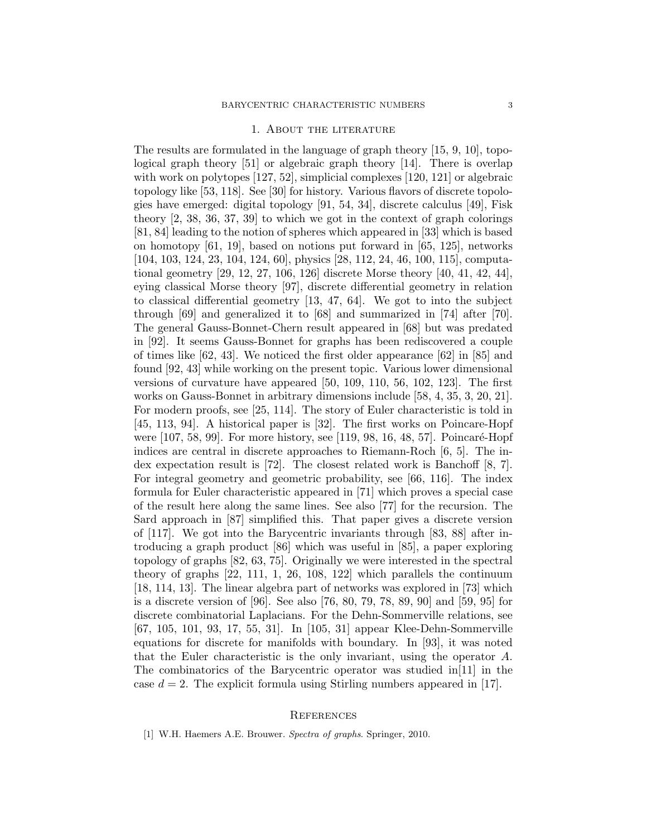### 1. About the literature

The results are formulated in the language of graph theory [15, 9, 10], topological graph theory [51] or algebraic graph theory [14]. There is overlap with work on polytopes [127, 52], simplicial complexes [120, 121] or algebraic topology like [53, 118]. See [30] for history. Various flavors of discrete topologies have emerged: digital topology [91, 54, 34], discrete calculus [49], Fisk theory [2, 38, 36, 37, 39] to which we got in the context of graph colorings [81, 84] leading to the notion of spheres which appeared in [33] which is based on homotopy [61, 19], based on notions put forward in [65, 125], networks [104, 103, 124, 23, 104, 124, 60], physics [28, 112, 24, 46, 100, 115], computational geometry [29, 12, 27, 106, 126] discrete Morse theory [40, 41, 42, 44], eying classical Morse theory [97], discrete differential geometry in relation to classical differential geometry [13, 47, 64]. We got to into the subject through [69] and generalized it to [68] and summarized in [74] after [70]. The general Gauss-Bonnet-Chern result appeared in [68] but was predated in [92]. It seems Gauss-Bonnet for graphs has been rediscovered a couple of times like [62, 43]. We noticed the first older appearance [62] in [85] and found [92, 43] while working on the present topic. Various lower dimensional versions of curvature have appeared [50, 109, 110, 56, 102, 123]. The first works on Gauss-Bonnet in arbitrary dimensions include [58, 4, 35, 3, 20, 21]. For modern proofs, see [25, 114]. The story of Euler characteristic is told in [45, 113, 94]. A historical paper is [32]. The first works on Poincare-Hopf were  $[107, 58, 99]$ . For more history, see  $[119, 98, 16, 48, 57]$ . Poincaré-Hopf indices are central in discrete approaches to Riemann-Roch [6, 5]. The index expectation result is [72]. The closest related work is Banchoff [8, 7]. For integral geometry and geometric probability, see [66, 116]. The index formula for Euler characteristic appeared in [71] which proves a special case of the result here along the same lines. See also [77] for the recursion. The Sard approach in [87] simplified this. That paper gives a discrete version of [117]. We got into the Barycentric invariants through [83, 88] after introducing a graph product [86] which was useful in [85], a paper exploring topology of graphs [82, 63, 75]. Originally we were interested in the spectral theory of graphs [22, 111, 1, 26, 108, 122] which parallels the continuum [18, 114, 13]. The linear algebra part of networks was explored in [73] which is a discrete version of [96]. See also [76, 80, 79, 78, 89, 90] and [59, 95] for discrete combinatorial Laplacians. For the Dehn-Sommerville relations, see [67, 105, 101, 93, 17, 55, 31]. In [105, 31] appear Klee-Dehn-Sommerville equations for discrete for manifolds with boundary. In [93], it was noted that the Euler characteristic is the only invariant, using the operator A. The combinatorics of the Barycentric operator was studied in[11] in the case  $d = 2$ . The explicit formula using Stirling numbers appeared in [17].

### **REFERENCES**

[1] W.H. Haemers A.E. Brouwer. Spectra of graphs. Springer, 2010.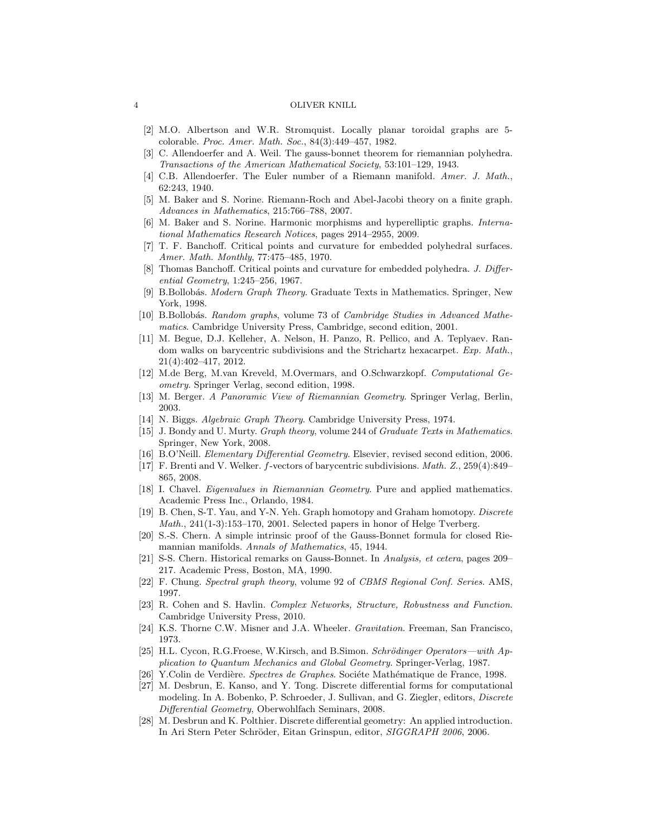- [2] M.O. Albertson and W.R. Stromquist. Locally planar toroidal graphs are 5 colorable. Proc. Amer. Math. Soc., 84(3):449–457, 1982.
- [3] C. Allendoerfer and A. Weil. The gauss-bonnet theorem for riemannian polyhedra. Transactions of the American Mathematical Society, 53:101–129, 1943.
- [4] C.B. Allendoerfer. The Euler number of a Riemann manifold. Amer. J. Math., 62:243, 1940.
- [5] M. Baker and S. Norine. Riemann-Roch and Abel-Jacobi theory on a finite graph. Advances in Mathematics, 215:766–788, 2007.
- [6] M. Baker and S. Norine. Harmonic morphisms and hyperelliptic graphs. International Mathematics Research Notices, pages 2914–2955, 2009.
- [7] T. F. Banchoff. Critical points and curvature for embedded polyhedral surfaces. Amer. Math. Monthly, 77:475–485, 1970.
- [8] Thomas Banchoff. Critical points and curvature for embedded polyhedra. J. Differential Geometry, 1:245–256, 1967.
- [9] B.Bollobás. *Modern Graph Theory*. Graduate Texts in Mathematics. Springer, New York, 1998.
- [10] B.Bollobás. Random graphs, volume 73 of Cambridge Studies in Advanced Mathematics. Cambridge University Press, Cambridge, second edition, 2001.
- [11] M. Begue, D.J. Kelleher, A. Nelson, H. Panzo, R. Pellico, and A. Teplyaev. Random walks on barycentric subdivisions and the Strichartz hexacarpet. Exp. Math., 21(4):402–417, 2012.
- [12] M.de Berg, M.van Kreveld, M.Overmars, and O.Schwarzkopf. Computational Geometry. Springer Verlag, second edition, 1998.
- [13] M. Berger. A Panoramic View of Riemannian Geometry. Springer Verlag, Berlin, 2003.
- [14] N. Biggs. Algebraic Graph Theory. Cambridge University Press, 1974.
- [15] J. Bondy and U. Murty. *Graph theory*, volume 244 of *Graduate Texts in Mathematics*. Springer, New York, 2008.
- [16] B.O'Neill. Elementary Differential Geometry. Elsevier, revised second edition, 2006.
- [17] F. Brenti and V. Welker. f-vectors of barycentric subdivisions. Math. Z., 259(4):849– 865, 2008.
- [18] I. Chavel. Eigenvalues in Riemannian Geometry. Pure and applied mathematics. Academic Press Inc., Orlando, 1984.
- [19] B. Chen, S-T. Yau, and Y-N. Yeh. Graph homotopy and Graham homotopy. Discrete Math., 241(1-3):153–170, 2001. Selected papers in honor of Helge Tverberg.
- [20] S.-S. Chern. A simple intrinsic proof of the Gauss-Bonnet formula for closed Riemannian manifolds. Annals of Mathematics, 45, 1944.
- [21] S-S. Chern. Historical remarks on Gauss-Bonnet. In Analysis, et cetera, pages 209– 217. Academic Press, Boston, MA, 1990.
- [22] F. Chung. Spectral graph theory, volume 92 of CBMS Regional Conf. Series. AMS, 1997.
- [23] R. Cohen and S. Havlin. Complex Networks, Structure, Robustness and Function. Cambridge University Press, 2010.
- [24] K.S. Thorne C.W. Misner and J.A. Wheeler. Gravitation. Freeman, San Francisco, 1973.
- [25] H.L. Cycon, R.G.Froese, W.Kirsch, and B.Simon. Schrödinger Operators—with Application to Quantum Mechanics and Global Geometry. Springer-Verlag, 1987.
- [26] Y.Colin de Verdière. Spectres de Graphes. Sociéte Mathématique de France, 1998.
- [27] M. Desbrun, E. Kanso, and Y. Tong. Discrete differential forms for computational modeling. In A. Bobenko, P. Schroeder, J. Sullivan, and G. Ziegler, editors, Discrete Differential Geometry, Oberwohlfach Seminars, 2008.
- [28] M. Desbrun and K. Polthier. Discrete differential geometry: An applied introduction. In Ari Stern Peter Schröder, Eitan Grinspun, editor, SIGGRAPH 2006, 2006.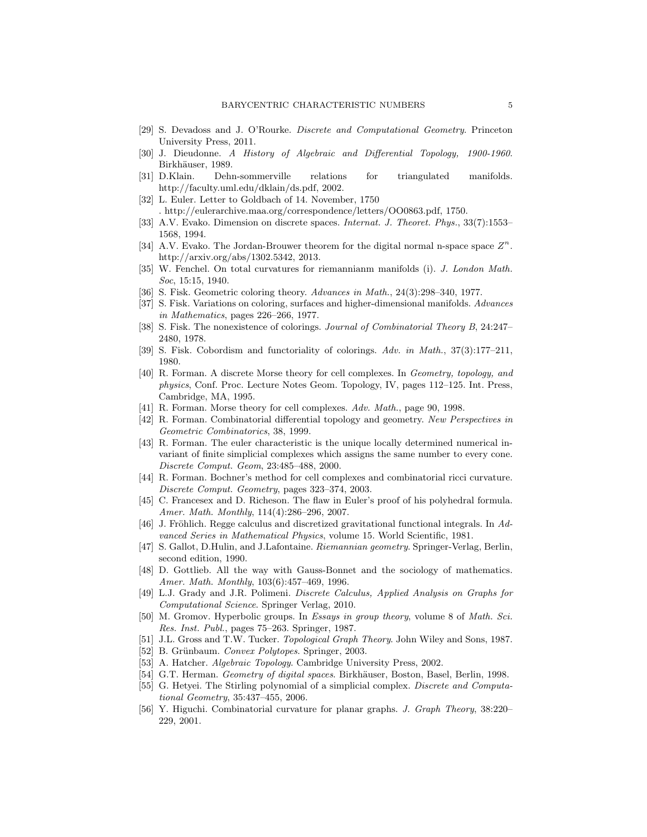- [29] S. Devadoss and J. O'Rourke. Discrete and Computational Geometry. Princeton University Press, 2011.
- [30] J. Dieudonne. A History of Algebraic and Differential Topology, 1900-1960. Birkhäuser, 1989.
- [31] D.Klain. Dehn-sommerville relations for triangulated manifolds. http://faculty.uml.edu/dklain/ds.pdf, 2002.
- [32] L. Euler. Letter to Goldbach of 14. November, 1750 . http://eulerarchive.maa.org/correspondence/letters/OO0863.pdf, 1750.
- [33] A.V. Evako. Dimension on discrete spaces. Internat. J. Theoret. Phys., 33(7):1553– 1568, 1994.
- [34] A.V. Evako. The Jordan-Brouwer theorem for the digital normal n-space space  $Z<sup>n</sup>$ . http://arxiv.org/abs/1302.5342, 2013.
- [35] W. Fenchel. On total curvatures for riemannianm manifolds (i). J. London Math. Soc, 15:15, 1940.
- [36] S. Fisk. Geometric coloring theory. Advances in Math., 24(3):298–340, 1977.
- [37] S. Fisk. Variations on coloring, surfaces and higher-dimensional manifolds. Advances in Mathematics, pages 226–266, 1977.
- [38] S. Fisk. The nonexistence of colorings. Journal of Combinatorial Theory B, 24:247– 2480, 1978.
- [39] S. Fisk. Cobordism and functoriality of colorings. Adv. in Math., 37(3):177–211, 1980.
- [40] R. Forman. A discrete Morse theory for cell complexes. In Geometry, topology, and physics, Conf. Proc. Lecture Notes Geom. Topology, IV, pages 112–125. Int. Press, Cambridge, MA, 1995.
- [41] R. Forman. Morse theory for cell complexes. Adv. Math., page 90, 1998.
- [42] R. Forman. Combinatorial differential topology and geometry. New Perspectives in Geometric Combinatorics, 38, 1999.
- [43] R. Forman. The euler characteristic is the unique locally determined numerical invariant of finite simplicial complexes which assigns the same number to every cone. Discrete Comput. Geom, 23:485–488, 2000.
- [44] R. Forman. Bochner's method for cell complexes and combinatorial ricci curvature. Discrete Comput. Geometry, pages 323–374, 2003.
- [45] C. Francesex and D. Richeson. The flaw in Euler's proof of his polyhedral formula. Amer. Math. Monthly, 114(4):286–296, 2007.
- [46] J. Fröhlich. Regge calculus and discretized gravitational functional integrals. In  $Ad$ vanced Series in Mathematical Physics, volume 15. World Scientific, 1981.
- [47] S. Gallot, D.Hulin, and J.Lafontaine. Riemannian geometry. Springer-Verlag, Berlin, second edition, 1990.
- [48] D. Gottlieb. All the way with Gauss-Bonnet and the sociology of mathematics. Amer. Math. Monthly, 103(6):457–469, 1996.
- [49] L.J. Grady and J.R. Polimeni. Discrete Calculus, Applied Analysis on Graphs for Computational Science. Springer Verlag, 2010.
- [50] M. Gromov. Hyperbolic groups. In Essays in group theory, volume 8 of Math. Sci. Res. Inst. Publ., pages 75–263. Springer, 1987.
- [51] J.L. Gross and T.W. Tucker. Topological Graph Theory. John Wiley and Sons, 1987.
- [52] B. Grünbaum. Convex Polytopes. Springer, 2003.
- [53] A. Hatcher. Algebraic Topology. Cambridge University Press, 2002.
- [54] G.T. Herman. Geometry of digital spaces. Birkhäuser, Boston, Basel, Berlin, 1998.
- [55] G. Hetyei. The Stirling polynomial of a simplicial complex. Discrete and Computational Geometry, 35:437–455, 2006.
- [56] Y. Higuchi. Combinatorial curvature for planar graphs. J. Graph Theory, 38:220– 229, 2001.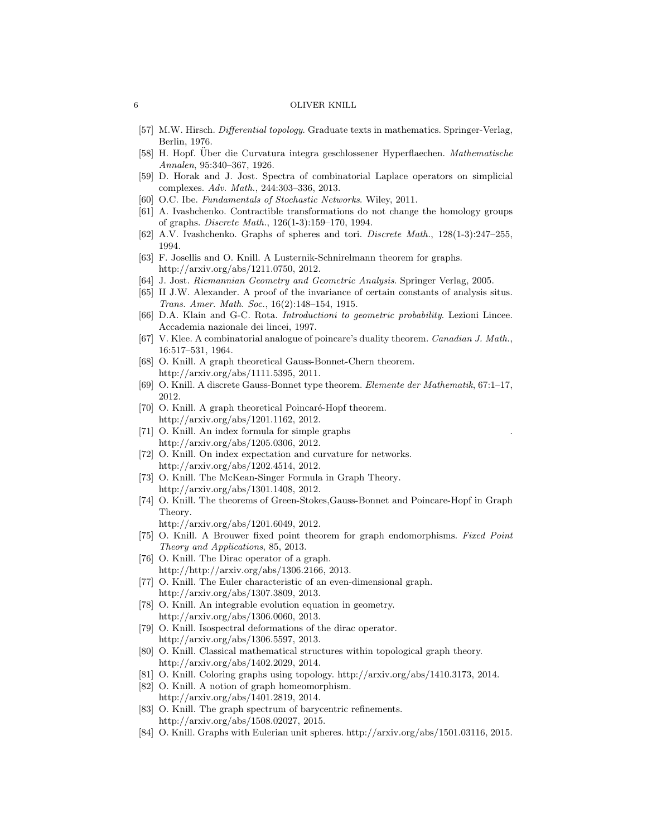- [57] M.W. Hirsch. Differential topology. Graduate texts in mathematics. Springer-Verlag, Berlin, 1976.
- [58] H. Hopf. Über die Curvatura integra geschlossener Hyperflaechen. *Mathematische* Annalen, 95:340–367, 1926.
- [59] D. Horak and J. Jost. Spectra of combinatorial Laplace operators on simplicial complexes. Adv. Math., 244:303–336, 2013.
- [60] O.C. Ibe. Fundamentals of Stochastic Networks. Wiley, 2011.
- [61] A. Ivashchenko. Contractible transformations do not change the homology groups of graphs. Discrete Math., 126(1-3):159–170, 1994.
- [62] A.V. Ivashchenko. Graphs of spheres and tori. Discrete Math., 128(1-3):247–255, 1994.
- [63] F. Josellis and O. Knill. A Lusternik-Schnirelmann theorem for graphs. http://arxiv.org/abs/1211.0750, 2012.
- [64] J. Jost. Riemannian Geometry and Geometric Analysis. Springer Verlag, 2005.
- [65] II J.W. Alexander. A proof of the invariance of certain constants of analysis situs. Trans. Amer. Math. Soc., 16(2):148–154, 1915.
- [66] D.A. Klain and G-C. Rota. Introductioni to geometric probability. Lezioni Lincee. Accademia nazionale dei lincei, 1997.
- [67] V. Klee. A combinatorial analogue of poincare's duality theorem. Canadian J. Math., 16:517–531, 1964.
- [68] O. Knill. A graph theoretical Gauss-Bonnet-Chern theorem. http://arxiv.org/abs/1111.5395, 2011.
- [69] O. Knill. A discrete Gauss-Bonnet type theorem. Elemente der Mathematik, 67:1–17, 2012.
- [70] O. Knill. A graph theoretical Poincaré-Hopf theorem. http://arxiv.org/abs/1201.1162, 2012.
- [71] O. Knill. An index formula for simple graphs http://arxiv.org/abs/1205.0306, 2012.
- [72] O. Knill. On index expectation and curvature for networks. http://arxiv.org/abs/1202.4514, 2012.
- [73] O. Knill. The McKean-Singer Formula in Graph Theory. http://arxiv.org/abs/1301.1408, 2012.
- [74] O. Knill. The theorems of Green-Stokes,Gauss-Bonnet and Poincare-Hopf in Graph Theory.
- http://arxiv.org/abs/1201.6049, 2012.
- [75] O. Knill. A Brouwer fixed point theorem for graph endomorphisms. Fixed Point Theory and Applications, 85, 2013.
- [76] O. Knill. The Dirac operator of a graph. http://http://arxiv.org/abs/1306.2166, 2013.
- [77] O. Knill. The Euler characteristic of an even-dimensional graph. http://arxiv.org/abs/1307.3809, 2013.
- [78] O. Knill. An integrable evolution equation in geometry. http://arxiv.org/abs/1306.0060, 2013.
- [79] O. Knill. Isospectral deformations of the dirac operator. http://arxiv.org/abs/1306.5597, 2013.
- [80] O. Knill. Classical mathematical structures within topological graph theory. http://arxiv.org/abs/1402.2029, 2014.
- [81] O. Knill. Coloring graphs using topology. http://arxiv.org/abs/1410.3173, 2014.
- [82] O. Knill. A notion of graph homeomorphism.
- http://arxiv.org/abs/1401.2819, 2014.
- [83] O. Knill. The graph spectrum of barycentric refinements. http://arxiv.org/abs/1508.02027, 2015.
- [84] O. Knill. Graphs with Eulerian unit spheres. http://arxiv.org/abs/1501.03116, 2015.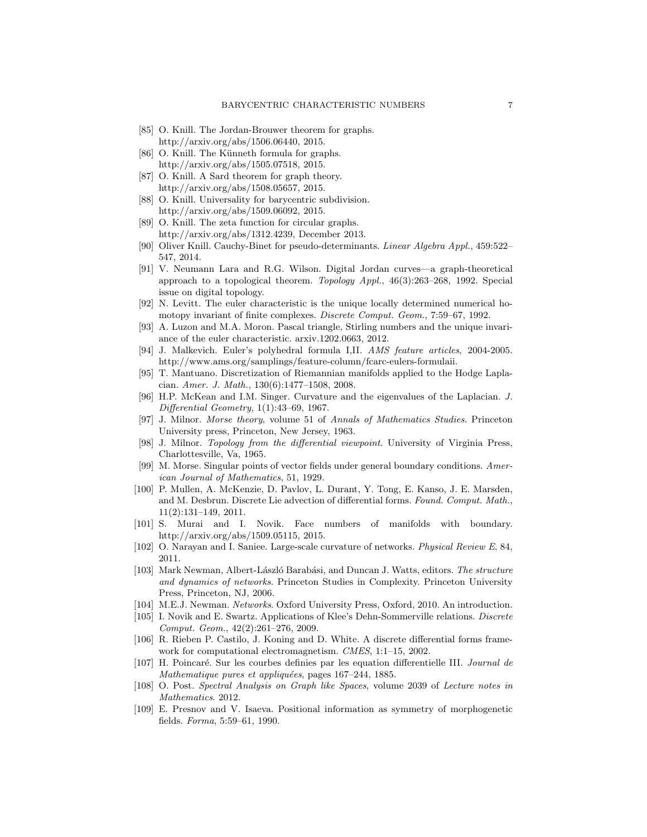- [85] O. Knill. The Jordan-Brouwer theorem for graphs. http://arxiv.org/abs/1506.06440, 2015.
- [86] O. Knill. The Künneth formula for graphs. http://arxiv.org/abs/1505.07518, 2015.
- [87] O. Knill. A Sard theorem for graph theory. http://arxiv.org/abs/1508.05657, 2015.
- [88] O. Knill. Universality for barycentric subdivision. http://arxiv.org/abs/1509.06092, 2015.
- [89] O. Knill. The zeta function for circular graphs. http://arxiv.org/abs/1312.4239, December 2013.
- [90] Oliver Knill. Cauchy-Binet for pseudo-determinants. Linear Algebra Appl., 459:522– 547, 2014.
- [91] V. Neumann Lara and R.G. Wilson. Digital Jordan curves—a graph-theoretical approach to a topological theorem. Topology Appl., 46(3):263–268, 1992. Special issue on digital topology.
- [92] N. Levitt. The euler characteristic is the unique locally determined numerical homotopy invariant of finite complexes. Discrete Comput. Geom., 7:59–67, 1992.
- [93] A. Luzon and M.A. Moron. Pascal triangle, Stirling numbers and the unique invariance of the euler characteristic. arxiv.1202.0663, 2012.
- [94] J. Malkevich. Euler's polyhedral formula I,II. AMS feature articles, 2004-2005. http://www.ams.org/samplings/feature-column/fcarc-eulers-formulaii.
- [95] T. Mantuano. Discretization of Riemannian manifolds applied to the Hodge Laplacian. Amer. J. Math., 130(6):1477–1508, 2008.
- [96] H.P. McKean and I.M. Singer. Curvature and the eigenvalues of the Laplacian. J. Differential Geometry, 1(1):43–69, 1967.
- [97] J. Milnor. Morse theory, volume 51 of Annals of Mathematics Studies. Princeton University press, Princeton, New Jersey, 1963.
- [98] J. Milnor. Topology from the differential viewpoint. University of Virginia Press, Charlottesville, Va, 1965.
- [99] M. Morse. Singular points of vector fields under general boundary conditions. American Journal of Mathematics, 51, 1929.
- [100] P. Mullen, A. McKenzie, D. Pavlov, L. Durant, Y. Tong, E. Kanso, J. E. Marsden, and M. Desbrun. Discrete Lie advection of differential forms. Found. Comput. Math., 11(2):131–149, 2011.
- [101] S. Murai and I. Novik. Face numbers of manifolds with boundary. http://arxiv.org/abs/1509.05115, 2015.
- [102] O. Narayan and I. Saniee. Large-scale curvature of networks. Physical Review E, 84, 2011.
- [103] Mark Newman, Albert-László Barabási, and Duncan J. Watts, editors. The structure and dynamics of networks. Princeton Studies in Complexity. Princeton University Press, Princeton, NJ, 2006.
- [104] M.E.J. Newman. Networks. Oxford University Press, Oxford, 2010. An introduction.
- [105] I. Novik and E. Swartz. Applications of Klee's Dehn-Sommerville relations. Discrete Comput. Geom., 42(2):261–276, 2009.
- [106] R. Rieben P. Castilo, J. Koning and D. White. A discrete differential forms framework for computational electromagnetism. CMES, 1:1–15, 2002.
- [107] H. Poincar´e. Sur les courbes definies par les equation differentielle III. Journal de Mathematique pures et appliquées, pages 167-244, 1885.
- [108] O. Post. Spectral Analysis on Graph like Spaces, volume 2039 of Lecture notes in Mathematics. 2012.
- [109] E. Presnov and V. Isaeva. Positional information as symmetry of morphogenetic fields. Forma, 5:59–61, 1990.